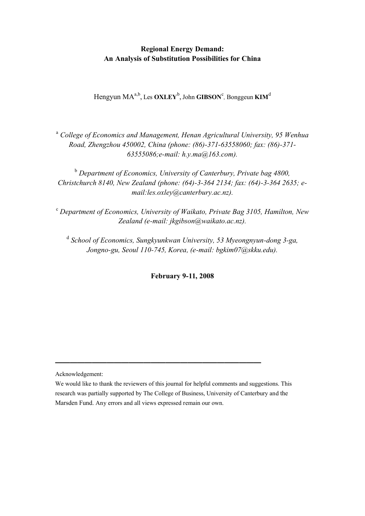# **Regional Energy Demand: An Analysis of Substitution Possibilities for China**

 $\text{Hengyun MA}^{a,b}, \text{Les } \textbf{OXLEY}^b, \text{John } \textbf{GIBSON}^c, \text{Bonggeun } \textbf{KIM}^d$ 

<sup>a</sup> *College of Economics and Management, Henan Agricultural University, 95 Wenhua Road, Zhengzhou 450002, China (phone: (86)-371-63558060; fax: (86)-371- 63555086;e-mail: h.y.ma@163.com).*

<sup>b</sup> Department of Economics, University of Canterbury, Private bag 4800, *Christchurch 8140, New Zealand (phone: (64)-3-364 2134; fax: (64)-3-364 2635; email:les.oxley@canterbury.ac.nz).*

c  *Department of Economics, University of Waikato, Private Bag 3105, Hamilton, New Zealand (e-mail: jkgibson@waikato.ac.nz).*

<sup>d</sup> School of Economics, Sungkyunkwan University, 53 Myeongnyun-dong 3-ga, *Jongno-gu, Seoul 110-745, Korea, (e-mail: bgkim07@skku.edu).*

**February 9-11, 2008**

Acknowledgement:

**————————————————————————————**

We would like to thank the reviewers of this journal for helpful comments and suggestions. This research was partially supported by The College of Business, University of Canterbury and the Marsden Fund. Any errors and all views expressed remain our own.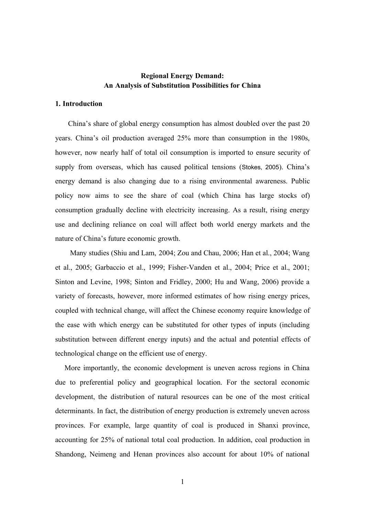# **Regional Energy Demand: An Analysis of Substitution Possibilities for China**

## **1. Introduction**

 China's share of global energy consumption has almost doubled over the past 20 years. China's oil production averaged 25% more than consumption in the 1980s, however, now nearly half of total oil consumption is imported to ensure security of supply from overseas, which has caused political tensions (Stokes, 2005). China's energy demand is also changing due to a rising environmental awareness. Public policy now aims to see the share of coal (which China has large stocks of) consumption gradually decline with electricity increasing. As a result, rising energy use and declining reliance on coal will affect both world energy markets and the nature of China's future economic growth.

 Many studies (Shiu and Lam, 2004; Zou and Chau, 2006; Han et al., 2004; Wang et al., 2005; Garbaccio et al., 1999; Fisher-Vanden et al., 2004; Price et al., 2001; Sinton and Levine, 1998; Sinton and Fridley, 2000; Hu and Wang, 2006) provide a variety of forecasts, however, more informed estimates of how rising energy prices, coupled with technical change, will affect the Chinese economy require knowledge of the ease with which energy can be substituted for other types of inputs (including substitution between different energy inputs) and the actual and potential effects of technological change on the efficient use of energy.

 More importantly, the economic development is uneven across regions in China due to preferential policy and geographical location. For the sectoral economic development, the distribution of natural resources can be one of the most critical determinants. In fact, the distribution of energy production is extremely uneven across provinces. For example, large quantity of coal is produced in Shanxi province, accounting for 25% of national total coal production. In addition, coal production in Shandong, Neimeng and Henan provinces also account for about 10% of national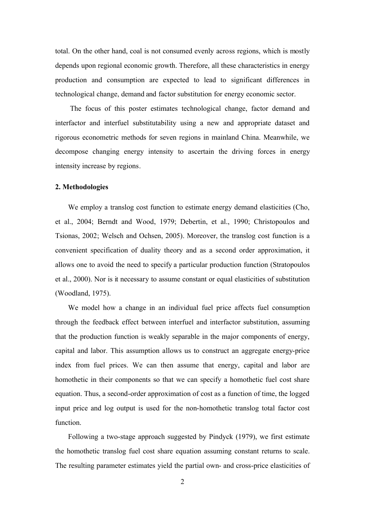total. On the other hand, coal is not consumed evenly across regions, which is mostly depends upon regional economic growth. Therefore, all these characteristics in energy production and consumption are expected to lead to significant differences in technological change, demand and factor substitution for energy economic sector.

The focus of this poster estimates technological change, factor demand and interfactor and interfuel substitutability using a new and appropriate dataset and rigorous econometric methods for seven regions in mainland China. Meanwhile, we decompose changing energy intensity to ascertain the driving forces in energy intensity increase by regions.

#### **2. Methodologies**

We employ a translog cost function to estimate energy demand elasticities (Cho, et al., 2004; Berndt and Wood, 1979; Debertin, et al., 1990; Christopoulos and Tsionas, 2002; Welsch and Ochsen, 2005). Moreover, the translog cost function is a convenient specification of duality theory and as a second order approximation, it allows one to avoid the need to specify a particular production function (Stratopoulos et al., 2000). Nor is it necessary to assume constant or equal elasticities of substitution (Woodland, 1975).

We model how a change in an individual fuel price affects fuel consumption through the feedback effect between interfuel and interfactor substitution, assuming that the production function is weakly separable in the major components of energy, capital and labor. This assumption allows us to construct an aggregate energy-price index from fuel prices. We can then assume that energy, capital and labor are homothetic in their components so that we can specify a homothetic fuel cost share equation. Thus, a second-order approximation of cost as a function of time, the logged input price and log output is used for the non-homothetic translog total factor cost function.

Following a two-stage approach suggested by Pindyck (1979), we first estimate the homothetic translog fuel cost share equation assuming constant returns to scale. The resulting parameter estimates yield the partial own- and cross-price elasticities of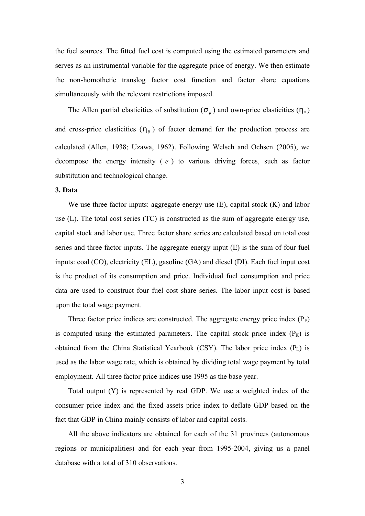the fuel sources. The fitted fuel cost is computed using the estimated parameters and serves as an instrumental variable for the aggregate price of energy. We then estimate the non-homothetic translog factor cost function and factor share equations simultaneously with the relevant restrictions imposed.

The Allen partial elasticities of substitution  $(S_{ij})$  and own-price elasticities  $(h_{ij})$ and cross-price elasticities  $(h_{ij})$  of factor demand for the production process are calculated (Allen, 1938; Uzawa, 1962). Following Welsch and Ochsen (2005), we decompose the energy intensity ( *e* ) to various driving forces, such as factor substitution and technological change.

## **3. Data**

We use three factor inputs: aggregate energy use (E), capital stock (K) and labor use (L). The total cost series (TC) is constructed as the sum of aggregate energy use, capital stock and labor use. Three factor share series are calculated based on total cost series and three factor inputs. The aggregate energy input (E) is the sum of four fuel inputs: coal (CO), electricity (EL), gasoline (GA) and diesel (DI). Each fuel input cost is the product of its consumption and price. Individual fuel consumption and price data are used to construct four fuel cost share series. The labor input cost is based upon the total wage payment.

Three factor price indices are constructed. The aggregate energy price index  $(P<sub>E</sub>)$ is computed using the estimated parameters. The capital stock price index  $(P_K)$  is obtained from the China Statistical Yearbook (CSY). The labor price index  $(P_L)$  is used as the labor wage rate, which is obtained by dividing total wage payment by total employment. All three factor price indices use 1995 as the base year.

Total output (Y) is represented by real GDP. We use a weighted index of the consumer price index and the fixed assets price index to deflate GDP based on the fact that GDP in China mainly consists of labor and capital costs.

All the above indicators are obtained for each of the 31 provinces (autonomous regions or municipalities) and for each year from 1995-2004, giving us a panel database with a total of 310 observations.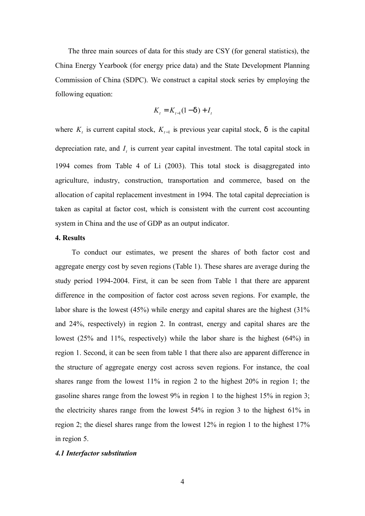The three main sources of data for this study are CSY (for general statistics), the China Energy Yearbook (for energy price data) and the State Development Planning Commission of China (SDPC). We construct a capital stock series by employing the following equation:

$$
K_t = K_{t-1}(1 - d) + I_t
$$

where  $K_t$  is current capital stock,  $K_{t-1}$  is previous year capital stock, d is the capital depreciation rate, and  $I_t$  is current year capital investment. The total capital stock in 1994 comes from Table 4 of Li (2003). This total stock is disaggregated into agriculture, industry, construction, transportation and commerce, based on the allocation of capital replacement investment in 1994. The total capital depreciation is taken as capital at factor cost, which is consistent with the current cost accounting system in China and the use of GDP as an output indicator.

## **4. Results**

 To conduct our estimates, we present the shares of both factor cost and aggregate energy cost by seven regions (Table 1). These shares are average during the study period 1994-2004. First, it can be seen from Table 1 that there are apparent difference in the composition of factor cost across seven regions. For example, the labor share is the lowest (45%) while energy and capital shares are the highest (31% and 24%, respectively) in region 2. In contrast, energy and capital shares are the lowest (25% and 11%, respectively) while the labor share is the highest (64%) in region 1. Second, it can be seen from table 1 that there also are apparent difference in the structure of aggregate energy cost across seven regions. For instance, the coal shares range from the lowest 11% in region 2 to the highest 20% in region 1; the gasoline shares range from the lowest 9% in region 1 to the highest 15% in region 3; the electricity shares range from the lowest 54% in region 3 to the highest 61% in region 2; the diesel shares range from the lowest 12% in region 1 to the highest 17% in region 5.

### *4.1 Interfactor substitution*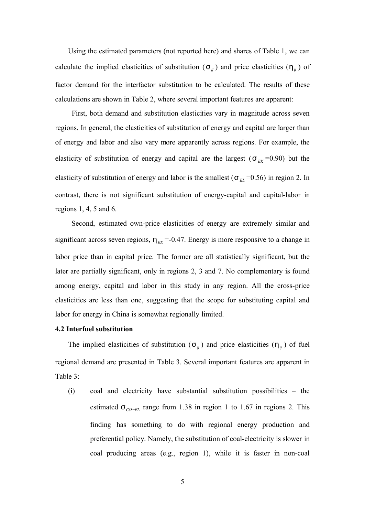Using the estimated parameters (not reported here) and shares of Table 1, we can calculate the implied elasticities of substitution ( $S_{ij}$ ) and price elasticities ( $h_{ij}$ ) of factor demand for the interfactor substitution to be calculated. The results of these calculations are shown in Table 2, where several important features are apparent:

 First, both demand and substitution elasticities vary in magnitude across seven regions. In general, the elasticities of substitution of energy and capital are larger than of energy and labor and also vary more apparently across regions. For example, the elasticity of substitution of energy and capital are the largest  $(S_{EK} = 0.90)$  but the elasticity of substitution of energy and labor is the smallest ( $S_{EL}$  =0.56) in region 2. In contrast, there is not significant substitution of energy-capital and capital-labor in regions 1, 4, 5 and 6.

 Second, estimated own-price elasticities of energy are extremely similar and significant across seven regions,  $h_{EE} = -0.47$ . Energy is more responsive to a change in labor price than in capital price. The former are all statistically significant, but the later are partially significant, only in regions 2, 3 and 7. No complementary is found among energy, capital and labor in this study in any region. All the cross-price elasticities are less than one, suggesting that the scope for substituting capital and labor for energy in China is somewhat regionally limited.

#### **4.2 Interfuel substitution**

The implied elasticities of substitution  $(S_{ij})$  and price elasticities  $(h_{ij})$  of fuel regional demand are presented in Table 3. Several important features are apparent in Table 3:

(i) coal and electricity have substantial substitution possibilities – the estimated *s CO*−*EL* range from 1.38 in region 1 to 1.67 in regions 2. This finding has something to do with regional energy production and preferential policy. Namely, the substitution of coal-electricity is slower in coal producing areas (e.g., region 1), while it is faster in non-coal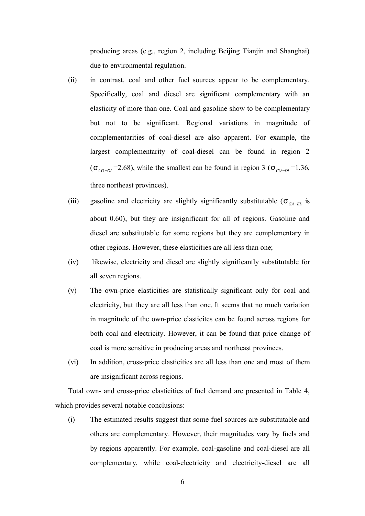producing areas (e.g., region 2, including Beijing Tianjin and Shanghai) due to environmental regulation.

- (ii) in contrast, coal and other fuel sources appear to be complementary. Specifically, coal and diesel are significant complementary with an elasticity of more than one. Coal and gasoline show to be complementary but not to be significant. Regional variations in magnitude of complementarities of coal-diesel are also apparent. For example, the largest complementarity of coal-diesel can be found in region 2  $(S_{CO-DI} = 2.68)$ , while the smallest can be found in region 3 ( $S_{CO-DI} = 1.36$ , three northeast provinces).
- (iii) gasoline and electricity are slightly significantly substitutable ( $S_{GA-EL}$  is about 0.60), but they are insignificant for all of regions. Gasoline and diesel are substitutable for some regions but they are complementary in other regions. However, these elasticities are all less than one;
- (iv) likewise, electricity and diesel are slightly significantly substitutable for all seven regions.
- (v) The own-price elasticities are statistically significant only for coal and electricity, but they are all less than one. It seems that no much variation in magnitude of the own-price elasticites can be found across regions for both coal and electricity. However, it can be found that price change of coal is more sensitive in producing areas and northeast provinces.
- (vi) In addition, cross-price elasticities are all less than one and most of them are insignificant across regions.

Total own- and cross-price elasticities of fuel demand are presented in Table 4, which provides several notable conclusions:

(i) The estimated results suggest that some fuel sources are substitutable and others are complementary. However, their magnitudes vary by fuels and by regions apparently. For example, coal-gasoline and coal-diesel are all complementary, while coal-electricity and electricity-diesel are all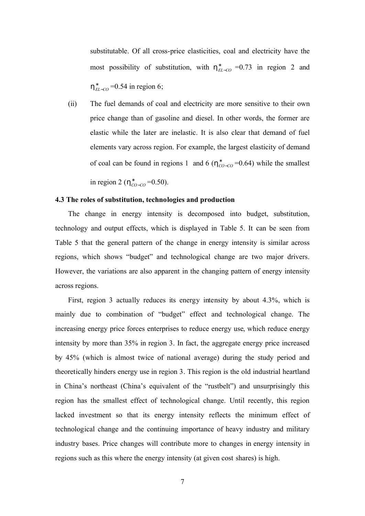substitutable. Of all cross-price elasticities, coal and electricity have the most possibility of substitution, with  $h_{EL-CO}^{*}$  =0.73 in region 2 and  $h_{EL-CO}^{*}$  =0.54 in region 6;

(ii) The fuel demands of coal and electricity are more sensitive to their own price change than of gasoline and diesel. In other words, the former are elastic while the later are inelastic. It is also clear that demand of fuel elements vary across region. For example, the largest elasticity of demand of coal can be found in regions 1 and 6 ( $h_{CO-CO}^{*}=0.64$ ) while the smallest

in region 2 ( $h_{CO-CO}^{*}$ =0.50).

### **4.3 The roles of substitution, technologies and production**

The change in energy intensity is decomposed into budget, substitution, technology and output effects, which is displayed in Table 5. It can be seen from Table 5 that the general pattern of the change in energy intensity is similar across regions, which shows "budget" and technological change are two major drivers. However, the variations are also apparent in the changing pattern of energy intensity across regions.

First, region 3 actually reduces its energy intensity by about 4.3%, which is mainly due to combination of "budget" effect and technological change. The increasing energy price forces enterprises to reduce energy use, which reduce energy intensity by more than 35% in region 3. In fact, the aggregate energy price increased by 45% (which is almost twice of national average) during the study period and theoretically hinders energy use in region 3. This region is the old industrial heartland in China's northeast (China's equivalent of the "rustbelt") and unsurprisingly this region has the smallest effect of technological change. Until recently, this region lacked investment so that its energy intensity reflects the minimum effect of technological change and the continuing importance of heavy industry and military industry bases. Price changes will contribute more to changes in energy intensity in regions such as this where the energy intensity (at given cost shares) is high.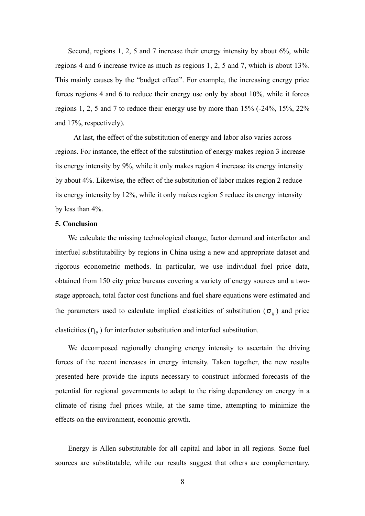Second, regions 1, 2, 5 and 7 increase their energy intensity by about 6%, while regions 4 and 6 increase twice as much as regions 1, 2, 5 and 7, which is about 13%. This mainly causes by the "budget effect". For example, the increasing energy price forces regions 4 and 6 to reduce their energy use only by about 10%, while it forces regions 1, 2, 5 and 7 to reduce their energy use by more than 15% (-24%, 15%, 22% and 17%, respectively).

 At last, the effect of the substitution of energy and labor also varies across regions. For instance, the effect of the substitution of energy makes region 3 increase its energy intensity by 9%, while it only makes region 4 increase its energy intensity by about 4%. Likewise, the effect of the substitution of labor makes region 2 reduce its energy intensity by 12%, while it only makes region 5 reduce its energy intensity by less than 4%.

#### **5. Conclusion**

We calculate the missing technological change, factor demand and interfactor and interfuel substitutability by regions in China using a new and appropriate dataset and rigorous econometric methods. In particular, we use individual fuel price data, obtained from 150 city price bureaus covering a variety of energy sources and a twostage approach, total factor cost functions and fuel share equations were estimated and the parameters used to calculate implied elasticities of substitution  $(S_{ij})$  and price elasticities ( $h_{ij}$ ) for interfactor substitution and interfuel substitution.

We decomposed regionally changing energy intensity to ascertain the driving forces of the recent increases in energy intensity. Taken together, the new results presented here provide the inputs necessary to construct informed forecasts of the potential for regional governments to adapt to the rising dependency on energy in a climate of rising fuel prices while, at the same time, attempting to minimize the effects on the environment, economic growth.

Energy is Allen substitutable for all capital and labor in all regions. Some fuel sources are substitutable, while our results suggest that others are complementary.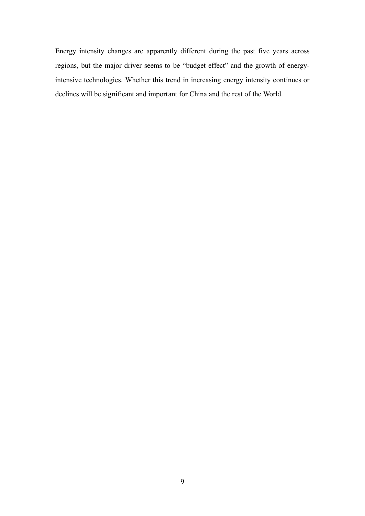Energy intensity changes are apparently different during the past five years across regions, but the major driver seems to be "budget effect" and the growth of energyintensive technologies. Whether this trend in increasing energy intensity continues or declines will be significant and important for China and the rest of the World.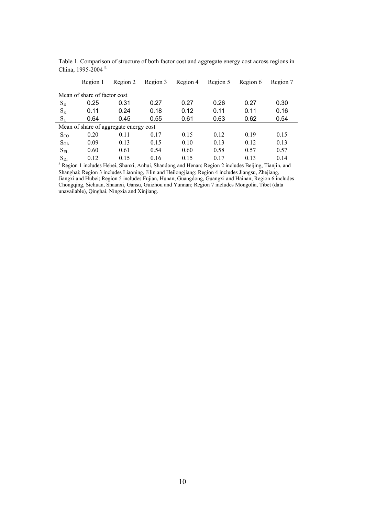|                              | Region 1                                                                                                         | Region 2                               | Region 3 | Region 4 | Region 5 | Region 6 | Region 7 |  |  |  |
|------------------------------|------------------------------------------------------------------------------------------------------------------|----------------------------------------|----------|----------|----------|----------|----------|--|--|--|
| Mean of share of factor cost |                                                                                                                  |                                        |          |          |          |          |          |  |  |  |
| $S_{E}$                      | 0.25                                                                                                             | 0.31                                   | 0.27     | 0.27     | 0.26     | 0.27     | 0.30     |  |  |  |
| $S_{K}$                      | 0.11                                                                                                             | 0.24                                   | 0.18     | 0.12     | 0.11     | 0.11     | 0.16     |  |  |  |
| $S_L$                        | 0.64                                                                                                             | 0.45                                   | 0.55     | 0.61     | 0.63     | 0.62     | 0.54     |  |  |  |
|                              |                                                                                                                  | Mean of share of aggregate energy cost |          |          |          |          |          |  |  |  |
| $S_{CO}$                     | 0.20                                                                                                             | 0.11                                   | 0.17     | 0.15     | 0.12     | 0.19     | 0.15     |  |  |  |
| $S_{GA}$                     | 0.09                                                                                                             | 0.13                                   | 0.15     | 0.10     | 0.13     | 0.12     | 0.13     |  |  |  |
| $S_{EL}$                     | 0.60                                                                                                             | 0.61                                   | 0.54     | 0.60     | 0.58     | 0.57     | 0.57     |  |  |  |
| $S_{DI}$                     | 0.12                                                                                                             | 0.15                                   | 0.16     | 0.15     | 0.17     | 0.13     | 0.14     |  |  |  |
|                              | <sup>a</sup> Region 1 includes Hebei, Shanxi, Anhui, Shandong and Henan; Region 2 includes Beijing, Tianjin, and |                                        |          |          |          |          |          |  |  |  |

Table 1. Comparison of structure of both factor cost and aggregate energy cost across regions in China, 1995-2004<sup>a</sup>

Shanghai; Region 3 includes Liaoning, Jilin and Heilongjiang; Region 4 includes Jiangsu, Zhejiang, Jiangxi and Hubei; Region 5 includes Fujian, Hunan, Guangdong, Guangxi and Hainan; Region 6 includes Chongqing, Sichuan, Shaanxi, Gansu, Guizhou and Yunnan; Region 7 includes Mongolia, Tibet (data unavailable), Qinghai, Ningxia and Xinjiang.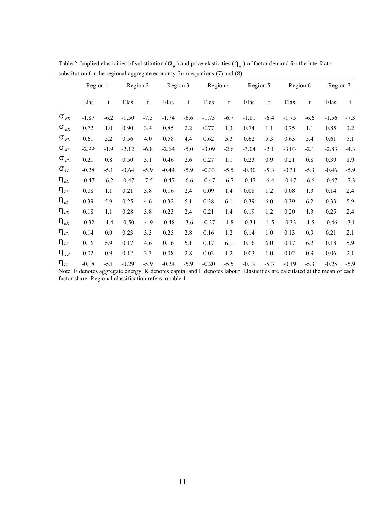|                                         | Region 1 |        | Region 2<br>Region 3 |        | Region 4 |        | Region 5 |        | Region 6 |        | Region 7 |        |         |        |
|-----------------------------------------|----------|--------|----------------------|--------|----------|--------|----------|--------|----------|--------|----------|--------|---------|--------|
|                                         | Elas     | t      | Elas                 | t      | Elas     | t      | Elas     | t      | Elas     | t      | Elas     | t      | Elas    | t      |
| $\mathbf{S}_{\textit{EE}}$              | $-1.87$  | $-6.2$ | $-1.50$              | $-7.5$ | $-1.74$  | $-6.6$ | $-1.73$  | $-6.7$ | $-1.81$  | $-6.4$ | $-1.75$  | $-6.6$ | $-1.56$ | $-7.3$ |
| $\textbf{S}_{\textit{EK}}$              | 0.72     | 1.0    | 0.90                 | 3.4    | 0.85     | 2.2    | 0.77     | 1.3    | 0.74     | 1.1    | 0.75     | 1.1    | 0.85    | 2.2    |
| $S_{EL}$                                | 0.61     | 5.2    | 0.56                 | 4.0    | 0.58     | 4.4    | 0.62     | 5.3    | 0.62     | 5.3    | 0.63     | 5.4    | 0.61    | 5.1    |
| $S_{KK}$                                | $-2.99$  | $-1.9$ | $-2.12$              | $-6.8$ | $-2.64$  | $-5.0$ | $-3.09$  | $-2.6$ | $-3.04$  | $-2.1$ | $-3.03$  | $-2.1$ | $-2.83$ | $-4.3$ |
| $S_{KL}$                                | 0.21     | 0.8    | 0.50                 | 3.1    | 0.46     | 2.6    | 0.27     | 1.1    | 0.23     | 0.9    | 0.21     | 0.8    | 0.39    | 1.9    |
| $S_{LL}$                                | $-0.28$  | $-5.1$ | $-0.64$              | $-5.9$ | $-0.44$  | $-5.9$ | $-0.33$  | $-5.5$ | $-0.30$  | $-5.3$ | $-0.31$  | $-5.3$ | $-0.46$ | $-5.9$ |
| $\mathsf{h}_{\scriptscriptstyle{E\!E}}$ | $-0.47$  | $-6.2$ | $-0.47$              | $-7.5$ | $-0.47$  | $-6.6$ | $-0.47$  | $-6.7$ | $-0.47$  | $-6.4$ | $-0.47$  | $-6.6$ | $-0.47$ | $-7.3$ |
| $h_{_{EK}}$                             | 0.08     | 1.1    | 0.21                 | 3.8    | 0.16     | 2.4    | 0.09     | 1.4    | 0.08     | 1.2    | 0.08     | 1.3    | 0.14    | 2.4    |
| $\mathsf{h}_{\scriptscriptstyle{EL}}$   | 0.39     | 5.9    | 0.25                 | 4.6    | 0.32     | 5.1    | 0.38     | 6.1    | 0.39     | 6.0    | 0.39     | 6.2    | 0.33    | 5.9    |
| $\mathsf{h}_{\scriptscriptstyle{K\!E}}$ | 0.18     | 1.1    | 0.28                 | 3.8    | 0.23     | 2.4    | 0.21     | 1.4    | 0.19     | 1.2    | 0.20     | 1.3    | 0.25    | 2.4    |
| $h_{\tiny{KK}}$                         | $-0.32$  | $-1.4$ | $-0.50$              | $-4.9$ | $-0.48$  | $-3.6$ | $-0.37$  | $-1.8$ | $-0.34$  | $-1.5$ | $-0.33$  | $-1.5$ | $-0.46$ | $-3.1$ |
| $h_{_{KL}}$                             | 0.14     | 0.9    | 0.23                 | 3.3    | 0.25     | 2.8    | 0.16     | 1.2    | 0.14     | 1.0    | 0.13     | 0.9    | 0.21    | 2.1    |
| $\mathsf{h}_{\scriptscriptstyle{L\!E}}$ | 0.16     | 5.9    | 0.17                 | 4.6    | 0.16     | 5.1    | 0.17     | 6.1    | 0.16     | 6.0    | 0.17     | 6.2    | 0.18    | 5.9    |
| $h_{\overline{\scriptscriptstyle L}K}$  | 0.02     | 0.9    | 0.12                 | 3.3    | 0.08     | 2.8    | 0.03     | 1.2    | 0.03     | 1.0    | 0.02     | 0.9    | 0.06    | 2.1    |
| $h_{LL}$                                | $-0.18$  | $-5.1$ | $-0.29$              | $-5.9$ | $-0.24$  | $-5.9$ | $-0.20$  | $-5.5$ | $-0.19$  | $-5.3$ | $-0.19$  | $-5.3$ | $-0.25$ | $-5.9$ |

Table 2. Implied elasticities of substitution (S<sub>*ij*</sub>) and price elasticities ( $h$ <sub>*ij*</sub>) of factor demand for the interfactor substitution for the regional aggregate economy from equations (7) and (8)

Note: E denotes aggregate energy, K denotes capital and L denotes labour. Elasticities are calculated at the mean of each factor share. Regional classification refers to table 1.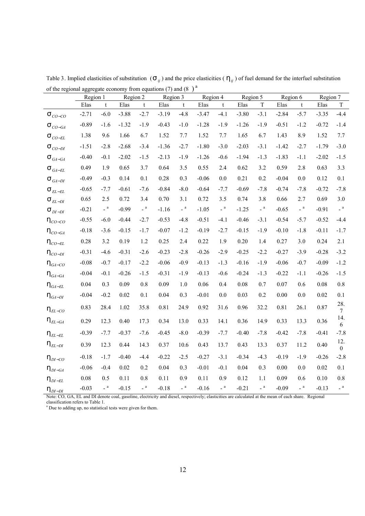| of the regional aggregate economy from equations (7) and (8) $\prime$ | Region 1 |                | Region 2 |                                         | Region 3 |                            | Region 4 |              | Region 5 |                                          | Region 6 |                                          | Region 7 |                       |
|-----------------------------------------------------------------------|----------|----------------|----------|-----------------------------------------|----------|----------------------------|----------|--------------|----------|------------------------------------------|----------|------------------------------------------|----------|-----------------------|
|                                                                       | Elas     | $\mathbf t$    | Elas     | t                                       | Elas     | $\mathbf t$                | Elas     | $\mathbf{t}$ | Elas     | $\mathbf T$                              | Elas     | t                                        | Elas     | $\mathbf T$           |
| $\mathsf{S}_{\mathit{CO-CO}}$                                         | $-2.71$  | $-6.0$         | $-3.88$  | $-2.7$                                  | $-3.19$  | $-4.8$                     | $-3.47$  | $-4.1$       | $-3.80$  | $-3.1$                                   | $-2.84$  | $-5.7$                                   | $-3.35$  | $-4.4$                |
| $\mathbf{S}_{CO-GA}$                                                  | $-0.89$  | $-1.6$         | $-1.32$  | $-1.9$                                  | $-0.43$  | $-1.0$                     | $-1.28$  | $-1.9$       | $-1.26$  | $-1.9$                                   | $-0.51$  | $-1.2$                                   | $-0.72$  | $-1.4$                |
| $\mathbb{S}_{\textit{CO-EL}}$                                         | 1.38     | 9.6            | 1.66     | 6.7                                     | 1.52     | 7.7                        | 1.52     | 7.7          | 1.65     | 6.7                                      | 1.43     | 8.9                                      | 1.52     | 7.7                   |
| $\mathbb{S}_{\textit{CO-DI}}$                                         | $-1.51$  | $-2.8$         | $-2.68$  | $-3.4$                                  | $-1.36$  | $-2.7$                     | $-1.80$  | $-3.0$       | $-2.03$  | $-3.1$                                   | $-1.42$  | $-2.7$                                   | $-1.79$  | $-3.0$                |
| $\textsf{S}_{\textit{GA}-\textit{GA}}$                                | $-0.40$  | $-0.1$         | $-2.02$  | $-1.5$                                  | $-2.13$  | $-1.9$                     | $-1.26$  | $-0.6$       | $-1.94$  | $-1.3$                                   | $-1.83$  | $-1.1$                                   | $-2.02$  | $-1.5$                |
| $\mathbb{S}_{\textit{GA-EL}}$                                         | 0.49     | 1.9            | 0.65     | 3.7                                     | 0.64     | $3.5$                      | 0.55     | 2.4          | 0.62     | 3.2                                      | 0.59     | 2.8                                      | 0.63     | 3.3                   |
| $S_{GA-DI}$                                                           | $-0.49$  | $-0.3$         | 0.14     | 0.1                                     | 0.28     | 0.3                        | $-0.06$  | $0.0\,$      | 0.21     | 0.2                                      | $-0.04$  | $0.0\,$                                  | 0.12     | 0.1                   |
| $\text{S}_{\textit{EL-EL}}$                                           | $-0.65$  | $-7.7$         | $-0.61$  | $-7.6$                                  | $-0.84$  | $-8.0$                     | $-0.64$  | $-7.7$       | $-0.69$  | $-7.8$                                   | $-0.74$  | $-7.8$                                   | $-0.72$  | $-7.8$                |
| $\textsf{S}_{\textit{EL-DI}}$                                         | 0.65     | 2.5            | 0.72     | 3.4                                     | 0.70     | 3.1                        | 0.72     | 3.5          | 0.74     | 3.8                                      | 0.66     | 2.7                                      | 0.69     | 3.0                   |
| $\textsf{S}_{\textit{DI-DI}}$                                         | $-0.21$  | $\verb!='   a$ | $-0.99$  | $\overline{\phantom{a}}^{\phantom{a}a}$ | $-1.16$  | $\overline{\phantom{a}}^a$ | $-1.05$  | $\_$ a $\,$  | $-1.25$  | $\overline{\phantom{a}}^{\phantom{a}}$ a | $-0.65$  | $\overline{\phantom{a}}^{\phantom{a}}$ a | $-0.91$  | $\_$ a $\,$           |
| $h_{\text{CO-CO}}$                                                    | $-0.55$  | $-6.0$         | $-0.44$  | $-2.7$                                  | $-0.53$  | $-4.8$                     | $-0.51$  | $-4.1$       | $-0.46$  | $-3.1$                                   | $-0.54$  | $-5.7$                                   | $-0.52$  | $-4.4$                |
| $h_{CO-GA}$                                                           | $-0.18$  | $-3.6$         | $-0.15$  | $-1.7$                                  | $-0.07$  | $-1.2$                     | $-0.19$  | $-2.7$       | $-0.15$  | $-1.9$                                   | $-0.10$  | $-1.8$                                   | $-0.11$  | $-1.7$                |
| $h_{\textit{CO-EL}}$                                                  | 0.28     | 3.2            | 0.19     | 1.2                                     | 0.25     | 2.4                        | 0.22     | 1.9          | 0.20     | 1.4                                      | 0.27     | 3.0                                      | 0.24     | 2.1                   |
| $h_{_{CO-DI}}$                                                        | $-0.31$  | $-4.6$         | $-0.31$  | $-2.6$                                  | $-0.23$  | $-2.8$                     | $-0.26$  | $-2.9$       | $-0.25$  | $-2.2$                                   | $-0.27$  | $-3.9$                                   | $-0.28$  | $-3.2$                |
| $h_{\rm G4-CO}$                                                       | $-0.08$  | $-0.7$         | $-0.17$  | $-2.2$                                  | $-0.06$  | $-0.9$                     | $-0.13$  | $-1.3$       | $-0.16$  | $-1.9$                                   | $-0.06$  | $-0.7$                                   | $-0.09$  | $-1.2$                |
| $h_{\textit{GA}-\textit{GA}}$                                         | $-0.04$  | $-0.1$         | $-0.26$  | $-1.5$                                  | $-0.31$  | $-1.9$                     | $-0.13$  | $-0.6$       | $-0.24$  | $-1.3$                                   | $-0.22$  | $-1.1$                                   | $-0.26$  | $-1.5$                |
| $h_{\rm \scriptscriptstyle GA-EL}$                                    | $0.04\,$ | 0.3            | 0.09     | $0.8\,$                                 | 0.09     | 1.0                        | 0.06     | 0.4          | $0.08\,$ | 0.7                                      | 0.07     | 0.6                                      | 0.08     | $0.8\,$               |
| $h_{\rm \scriptscriptstyle GA-DI}$                                    | $-0.04$  | $-0.2$         | 0.02     | 0.1                                     | 0.04     | 0.3                        | $-0.01$  | 0.0          | 0.03     | 0.2                                      | $0.00\,$ | $0.0\,$                                  | 0.02     | 0.1                   |
| $h_{\textit{EL-CO}}$                                                  | 0.83     | 28.4           | 1.02     | 35.8                                    | 0.81     | 24.9                       | 0.92     | 31.6         | 0.96     | 32.2                                     | 0.81     | 26.1                                     | 0.87     | 28.<br>$\tau$         |
| $h$ <sub><i>EL</i>-<i>GA</i></sub>                                    | 0.29     | 12.3           | 0.40     | 17.3                                    | 0.34     | 13.0                       | 0.33     | 14.1         | 0.36     | 14.9                                     | 0.33     | 13.3                                     | 0.36     | 14.<br>6              |
| $h_{\scriptscriptstyle EL-EL}$                                        | $-0.39$  | $-7.7$         | $-0.37$  | $-7.6$                                  | $-0.45$  | $-8.0$                     | $-0.39$  | $-7.7$       | $-0.40$  | $-7.8$                                   | $-0.42$  | $-7.8$                                   | $-0.41$  | $-7.8$                |
| $h$ <sub><i>EL-DI</i></sub>                                           | 0.39     | 12.3           | 0.44     | 14.3                                    | 0.37     | 10.6                       | 0.43     | 13.7         | 0.43     | 13.3                                     | 0.37     | 11.2                                     | 0.40     | 12.<br>$\overline{0}$ |
| $h_{\text{DI-CO}}$                                                    | $-0.18$  | $-1.7$         | $-0.40$  | $-4.4$                                  | $-0.22$  | $-2.5$                     | $-0.27$  | $-3.1$       | $-0.34$  | $-4.3$                                   | $-0.19$  | $-1.9$                                   | $-0.26$  | $-2.8$                |
| $h_{DI-GA}$                                                           | $-0.06$  | $-0.4$         | 0.02     | 0.2                                     | 0.04     | 0.3                        | $-0.01$  | $-0.1$       | 0.04     | 0.3                                      | $0.00\,$ | 0.0                                      | 0.02     | 0.1                   |
| $h_{\text{DI-EL}}$                                                    | 0.08     | 0.5            | 0.11     | 0.8                                     | 0.11     | 0.9                        | 0.11     | 0.9          | 0.12     | 1.1                                      | 0.09     | 0.6                                      | 0.10     | 0.8                   |
| $h_{\frac{DI-DI}{}}$                                                  | $-0.03$  | $\verb!_-$ a   | $-0.15$  | $\overline{\phantom{a}}^a$              | $-0.18$  | $\_$ a $\,$                | $-0.16$  | $\_$ a $\,$  | $-0.21$  | $\_$ a $\,$                              | $-0.09$  | $\_$ a $\,$                              | $-0.13$  | $\_$ a $\,$           |

Table 3. Implied elasticities of substitution  $(S_{ij})$  and the price elasticities  $(h_{ij})$  of fuel demand for the interfuel substitution of the regional aggregate economy from equations (7) and (8)  $^{\circ}$ 

Note: CO, GA, EL and DI denote coal, gasoline, electricity and diesel, respectively; elasticities are calculated at the mean of each share. Regional

classification refers to Table 1. a Due to adding up, no statistical tests were given for them.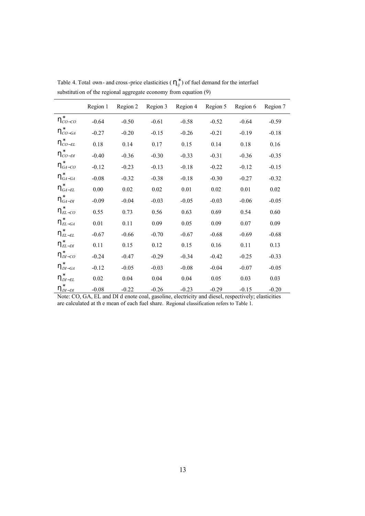|                                 | Region 1 | Region 2 | Region 3 | Region 4 | Region 5 | Region 6 | Region 7 |
|---------------------------------|----------|----------|----------|----------|----------|----------|----------|
| $h^*_{CO-CO}$                   | $-0.64$  | $-0.50$  | $-0.61$  | $-0.58$  | $-0.52$  | $-0.64$  | $-0.59$  |
| $h^*_{CO-GA}$                   | $-0.27$  | $-0.20$  | $-0.15$  | $-0.26$  | $-0.21$  | $-0.19$  | $-0.18$  |
| $h^*_{CO-EL}$                   | 0.18     | 0.14     | 0.17     | 0.15     | 0.14     | 0.18     | 0.16     |
| $h^*_{CO-DI}$                   | $-0.40$  | $-0.36$  | $-0.30$  | $-0.33$  | $-0.31$  | $-0.36$  | $-0.35$  |
| $h_{GA-CO}^*$                   | $-0.12$  | $-0.23$  | $-0.13$  | $-0.18$  | $-0.22$  | $-0.12$  | $-0.15$  |
| $h_{GA-GA}^*$                   | $-0.08$  | $-0.32$  | $-0.38$  | $-0.18$  | $-0.30$  | $-0.27$  | $-0.32$  |
| $\textsf{h}^*_{\textit{GA-EL}}$ | 0.00     | 0.02     | 0.02     | 0.01     | 0.02     | 0.01     | 0.02     |
| $h_{GA-DI}^*$                   | $-0.09$  | $-0.04$  | $-0.03$  | $-0.05$  | $-0.03$  | $-0.06$  | $-0.05$  |
| $h_{\textit{EL-CO}}^*$          | 0.55     | 0.73     | 0.56     | 0.63     | 0.69     | 0.54     | 0.60     |
| $h_{\textit{EL-GA}}^*$          | 0.01     | 0.11     | 0.09     | 0.05     | 0.09     | 0.07     | 0.09     |
| $h_{\mathit{EL-EL}}^*$          | $-0.67$  | $-0.66$  | $-0.70$  | $-0.67$  | $-0.68$  | $-0.69$  | $-0.68$  |
| $h_{\textit{EL-DI}}^*$          | 0.11     | 0.15     | 0.12     | 0.15     | 0.16     | 0.11     | 0.13     |
| $h_{DI-CO}^*$                   | $-0.24$  | $-0.47$  | $-0.29$  | $-0.34$  | $-0.42$  | $-0.25$  | $-0.33$  |
| $h_{DI-GA}^*$                   | $-0.12$  | $-0.05$  | $-0.03$  | $-0.08$  | $-0.04$  | $-0.07$  | $-0.05$  |
| $h^*_{\text{DI-EL}}$            | 0.02     | 0.04     | 0.04     | 0.04     | 0.05     | 0.03     | 0.03     |
| $h_{DI-DI}^*$                   | $-0.08$  | $-0.22$  | $-0.26$  | $-0.23$  | $-0.29$  | $-0.15$  | $-0.20$  |

Table 4. Total own- and cross-price elasticities ( $h_{ij}^*$ ) of fuel demand for the interfuel substituti on of the regional aggregate economy from equation (9)

Note: CO, GA, EL and DI d enote coal, gasoline, electricity and diesel, respectively; elasticities are calculated at th e mean of each fuel share. Regional classification refers to Table 1.